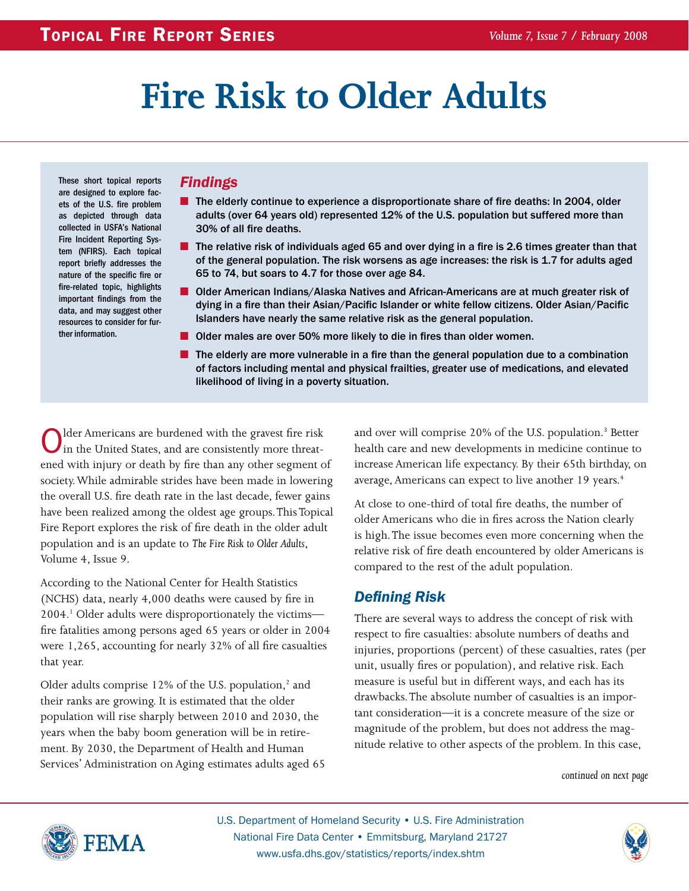# **Fire Risk to Older Adults**

These short topical reports are designed to explore facets of the U.S. fire problem as depicted through data collected in USFA's National Fire Incident Reporting System (NFIRS). Each topical report briefly addresses the nature of the specific fire or fire-related topic, highlights important findings from the data, and may suggest other resources to consider for further information.

### *Findings*

- The elderly continue to experience a disproportionate share of fire deaths: In 2004, older adults (over 64 years old) represented 12% of the U.S. population but suffered more than 30% of all fire deaths.
- The relative risk of individuals aged 65 and over dying in a fire is 2.6 times greater than that of the general population. The risk worsens as age increases: the risk is 1.7 for adults aged 65 to 74, but soars to 4.7 for those over age 84.
- Older American Indians/Alaska Natives and African-Americans are at much greater risk of dying in a fire than their Asian/Pacific Islander or white fellow citizens. Older Asian/Pacific Islanders have nearly the same relative risk as the general population.
- Older males are over 50% more likely to die in fires than older women.
- The elderly are more vulnerable in a fire than the general population due to a combination of factors including mental and physical frailties, greater use of medications, and elevated likelihood of living in a poverty situation.

Older Americans are burdened with the gravest fire risk<br>in the United States, and are consistently more threatened with injury or death by fire than any other segment of society. While admirable strides have been made in lowering the overall U.S. fire death rate in the last decade, fewer gains have been realized among the oldest age groups. This Topical Fire Report explores the risk of fire death in the older adult population and is an update to *The Fire Risk to Older Adults*, Volume 4, Issue 9.

According to the National Center for Health Statistics (NCHS) data, nearly 4,000 deaths were caused by fire in 2004.1 Older adults were disproportionately the victims fire fatalities among persons aged 65 years or older in 2004 were 1,265, accounting for nearly 32% of all fire casualties that year.

Older adults comprise 12% of the U.S. population,<sup>2</sup> and their ranks are growing. It is estimated that the older population will rise sharply between 2010 and 2030, the years when the baby boom generation will be in retirement. By 2030, the Department of Health and Human Services' Administration on Aging estimates adults aged 65

and over will comprise 20% of the U.S. population.<sup>3</sup> Better health care and new developments in medicine continue to increase American life expectancy. By their 65th birthday, on average, Americans can expect to live another 19 years.<sup>4</sup>

At close to one-third of total fire deaths, the number of older Americans who die in fires across the Nation clearly is high. The issue becomes even more concerning when the relative risk of fire death encountered by older Americans is compared to the rest of the adult population.

# *Defining Risk*

There are several ways to address the concept of risk with respect to fire casualties: absolute numbers of deaths and injuries, proportions (percent) of these casualties, rates (per unit, usually fires or population), and relative risk. Each measure is useful but in different ways, and each has its drawbacks. The absolute number of casualties is an important consideration—it is a concrete measure of the size or magnitude of the problem, but does not address the magnitude relative to other aspects of the problem. In this case,

*continued on next page*



U.S. Department of Homeland Security • U.S. Fire Administration National Fire Data Center • Emmitsburg, Maryland 21727 www.usfa.dhs.gov/statistics/reports/index.shtm

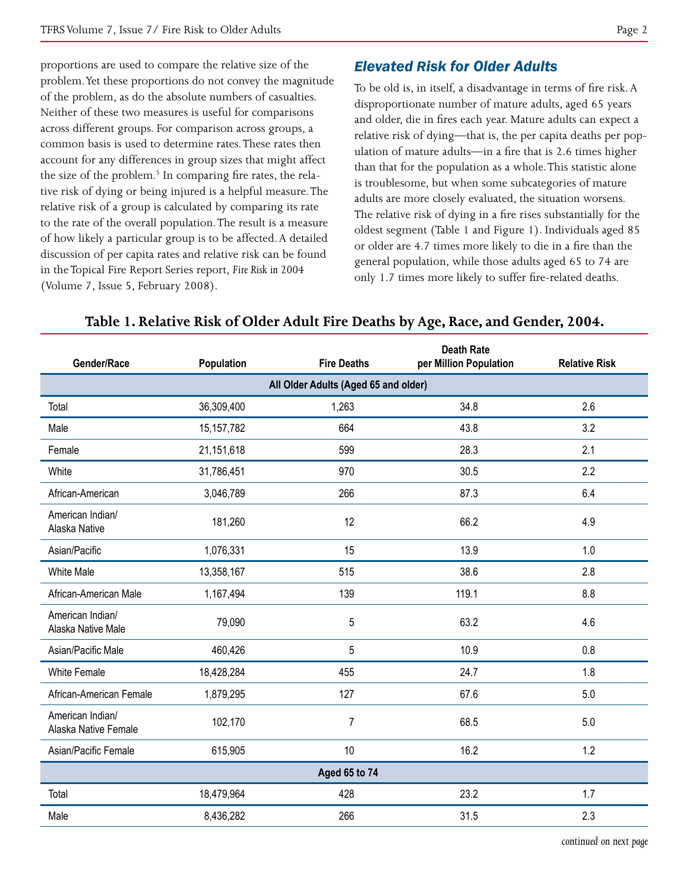proportions are used to compare the relative size of the problem. Yet these proportions do not convey the magnitude of the problem, as do the absolute numbers of casualties. Neither of these two measures is useful for comparisons across different groups. For comparison across groups, a common basis is used to determine rates. These rates then account for any differences in group sizes that might affect the size of the problem.<sup>5</sup> In comparing fire rates, the relative risk of dying or being injured is a helpful measure. The relative risk of a group is calculated by comparing its rate to the rate of the overall population. The result is a measure of how likely a particular group is to be affected. A detailed discussion of per capita rates and relative risk can be found in the Topical Fire Report Series report, *Fire Risk in 2004*  (Volume 7, Issue 5, February 2008).

# *Elevated Risk for Older Adults*

To be old is, in itself, a disadvantage in terms of fire risk. A disproportionate number of mature adults, aged 65 years and older, die in fires each year. Mature adults can expect a relative risk of dying—that is, the per capita deaths per population of mature adults—in a fire that is 2.6 times higher than that for the population as a whole. This statistic alone is troublesome, but when some subcategories of mature adults are more closely evaluated, the situation worsens. The relative risk of dying in a fire rises substantially for the oldest segment (Table 1 and Figure 1). Individuals aged 85 or older are 4.7 times more likely to die in a fire than the general population, while those adults aged 65 to 74 are only 1.7 times more likely to suffer fire-related deaths.

| Gender/Race                              | Population   | <b>Fire Deaths</b> | <b>Death Rate</b><br>per Million Population | <b>Relative Risk</b> |  |  |  |
|------------------------------------------|--------------|--------------------|---------------------------------------------|----------------------|--|--|--|
| All Older Adults (Aged 65 and older)     |              |                    |                                             |                      |  |  |  |
| Total                                    | 36,309,400   | 1,263              | 34.8                                        | 2.6                  |  |  |  |
| Male                                     | 15, 157, 782 | 664                | 43.8                                        | 3.2                  |  |  |  |
| Female                                   | 21,151,618   | 599                | 28.3                                        | 2.1                  |  |  |  |
| White                                    | 31,786,451   | 970                | 30.5                                        | 2.2                  |  |  |  |
| African-American                         | 3,046,789    | 266                | 87.3                                        | 6.4                  |  |  |  |
| American Indian/<br>Alaska Native        | 181,260      | 12                 | 66.2                                        | 4.9                  |  |  |  |
| Asian/Pacific                            | 1,076,331    | 15                 | 13.9                                        | 1.0                  |  |  |  |
| <b>White Male</b>                        | 13,358,167   | 515                | 38.6                                        | 2.8                  |  |  |  |
| African-American Male                    | 1,167,494    | 139                | 119.1                                       | 8.8                  |  |  |  |
| American Indian/<br>Alaska Native Male   | 79,090       | 5                  | 63.2                                        | 4.6                  |  |  |  |
| Asian/Pacific Male                       | 460,426      | 5                  | 10.9                                        | 0.8                  |  |  |  |
| <b>White Female</b>                      | 18,428,284   | 455                | 24.7                                        | 1.8                  |  |  |  |
| African-American Female                  | 1,879,295    | 127                | 67.6                                        | 5.0                  |  |  |  |
| American Indian/<br>Alaska Native Female | 102,170      | $\overline{7}$     | 68.5                                        | 5.0                  |  |  |  |
| Asian/Pacific Female                     | 615,905      | 10                 | 16.2                                        | 1.2                  |  |  |  |
| Aged 65 to 74                            |              |                    |                                             |                      |  |  |  |
| Total                                    | 18,479,964   | 428                | 23.2                                        | 1.7                  |  |  |  |
| Male                                     | 8,436,282    | 266                | 31.5                                        | 2.3                  |  |  |  |

#### **Table 1. Relative Risk of Older Adult Fire Deaths by Age, Race, and Gender, 2004.**

*continued on next page*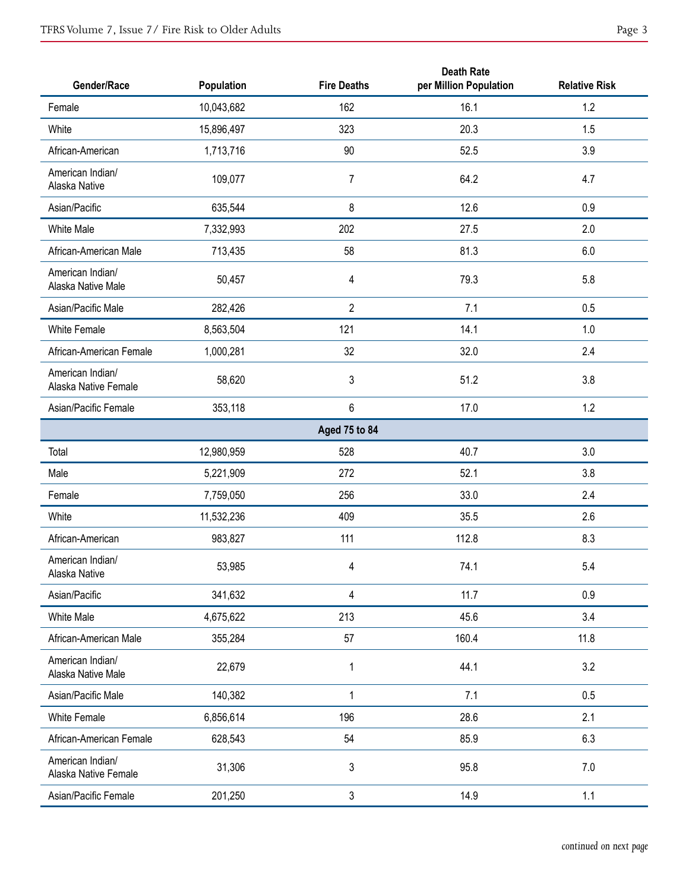| Gender/Race                              | Population | <b>Fire Deaths</b> | <b>Death Rate</b><br>per Million Population | <b>Relative Risk</b> |
|------------------------------------------|------------|--------------------|---------------------------------------------|----------------------|
| Female                                   | 10,043,682 | 162                | 16.1                                        | 1.2                  |
| White                                    | 15,896,497 | 323                | 20.3                                        | 1.5                  |
| African-American                         | 1,713,716  | 90                 | 52.5                                        | 3.9                  |
| American Indian/<br>Alaska Native        | 109,077    | $\overline{7}$     | 64.2                                        | 4.7                  |
| Asian/Pacific                            | 635,544    | 8                  | 12.6                                        | 0.9                  |
| White Male                               | 7,332,993  | 202                | 27.5                                        | 2.0                  |
| African-American Male                    | 713,435    | 58                 | 81.3                                        | 6.0                  |
| American Indian/<br>Alaska Native Male   | 50,457     | 4                  | 79.3                                        | 5.8                  |
| Asian/Pacific Male                       | 282,426    | $\overline{2}$     | 7.1                                         | 0.5                  |
| <b>White Female</b>                      | 8,563,504  | 121                | 14.1                                        | 1.0                  |
| African-American Female                  | 1,000,281  | 32                 | 32.0                                        | 2.4                  |
| American Indian/<br>Alaska Native Female | 58,620     | 3                  | 51.2                                        | 3.8                  |
| Asian/Pacific Female                     | 353,118    | 6                  | 17.0                                        | 1.2                  |
|                                          |            | Aged 75 to 84      |                                             |                      |
| Total                                    | 12,980,959 | 528                | 40.7                                        | 3.0                  |
| Male                                     | 5,221,909  | 272                | 52.1                                        | 3.8                  |
| Female                                   | 7,759,050  | 256                | 33.0                                        | 2.4                  |
| White                                    | 11,532,236 | 409                | 35.5                                        | 2.6                  |
| African-American                         | 983,827    | 111                | 112.8                                       | 8.3                  |
| American Indian/<br>Alaska Native        | 53,985     | 4                  | 74.1                                        | $5.4\,$              |
| Asian/Pacific                            | 341,632    | 4                  | 11.7                                        | 0.9                  |
| White Male                               | 4,675,622  | 213                | 45.6                                        | 3.4                  |
| African-American Male                    | 355,284    | 57                 | 160.4                                       | 11.8                 |
| American Indian/<br>Alaska Native Male   | 22,679     | $\mathbf 1$        | 44.1                                        | 3.2                  |
| Asian/Pacific Male                       | 140,382    | $\mathbf 1$        | 7.1                                         | 0.5                  |
| White Female                             | 6,856,614  | 196                | 28.6                                        | 2.1                  |
| African-American Female                  | 628,543    | 54                 | 85.9                                        | 6.3                  |
| American Indian/<br>Alaska Native Female | 31,306     | 3                  | 95.8                                        | 7.0                  |
| Asian/Pacific Female                     | 201,250    | 3                  | 14.9                                        | 1.1                  |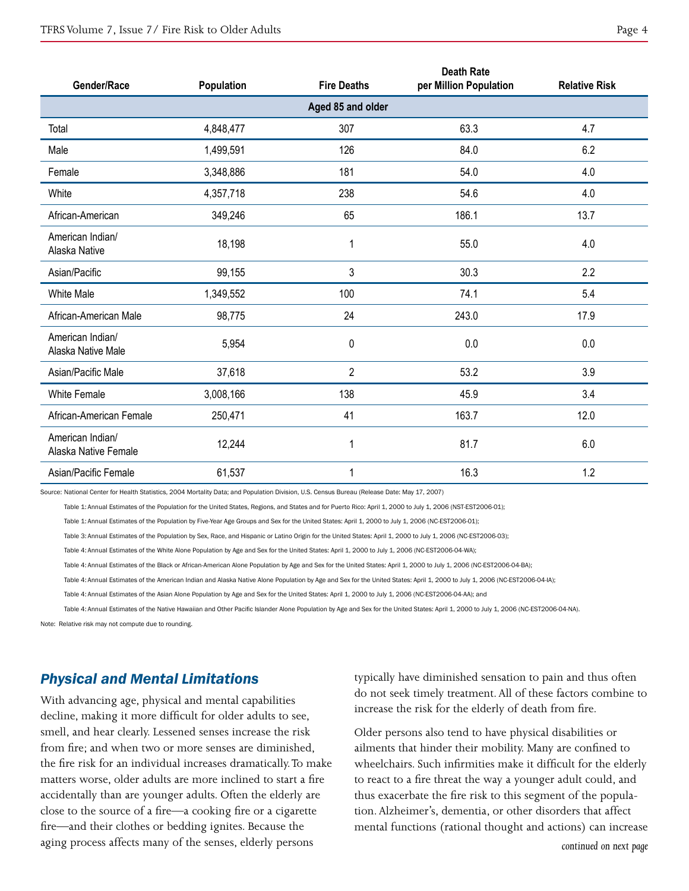| Gender/Race                              | Population | <b>Fire Deaths</b> | <b>Death Rate</b><br>per Million Population | <b>Relative Risk</b> |  |  |  |  |
|------------------------------------------|------------|--------------------|---------------------------------------------|----------------------|--|--|--|--|
| Aged 85 and older                        |            |                    |                                             |                      |  |  |  |  |
| Total                                    | 4,848,477  | 307                | 63.3                                        | 4.7                  |  |  |  |  |
| Male                                     | 1,499,591  | 126                | 84.0                                        | 6.2                  |  |  |  |  |
| Female                                   | 3,348,886  | 181                | 54.0                                        | 4.0                  |  |  |  |  |
| White                                    | 4,357,718  | 238                | 54.6                                        | 4.0                  |  |  |  |  |
| African-American                         | 349,246    | 65                 | 186.1                                       | 13.7                 |  |  |  |  |
| American Indian/<br>Alaska Native        | 18,198     | 1                  | 55.0                                        | 4.0                  |  |  |  |  |
| Asian/Pacific                            | 99,155     | 3                  | 30.3                                        | 2.2                  |  |  |  |  |
| <b>White Male</b>                        | 1,349,552  | 100                | 74.1                                        | 5.4                  |  |  |  |  |
| African-American Male                    | 98,775     | 24                 | 243.0                                       | 17.9                 |  |  |  |  |
| American Indian/<br>Alaska Native Male   | 5,954      | 0                  | 0.0                                         | 0.0                  |  |  |  |  |
| Asian/Pacific Male                       | 37,618     | $\overline{2}$     | 53.2                                        | 3.9                  |  |  |  |  |
| <b>White Female</b>                      | 3,008,166  | 138                | 45.9                                        | 3.4                  |  |  |  |  |
| African-American Female                  | 250,471    | 41                 | 163.7                                       | 12.0                 |  |  |  |  |
| American Indian/<br>Alaska Native Female | 12,244     | $\mathbf 1$        | 81.7                                        | 6.0                  |  |  |  |  |
| Asian/Pacific Female                     | 61,537     | 1                  | 16.3                                        | 1.2                  |  |  |  |  |

Source: National Center for Health Statistics, 2004 Mortality Data; and Population Division, U.S. Census Bureau (Release Date: May 17, 2007)

Table 1: Annual Estimates of the Population for the United States, Regions, and States and for Puerto Rico: April 1, 2000 to July 1, 2006 (NST-EST2006-01);

Table 1: Annual Estimates of the Population by Five-Year Age Groups and Sex for the United States: April 1, 2000 to July 1, 2006 (NC-EST2006-01);

Table 3: Annual Estimates of the Population by Sex, Race, and Hispanic or Latino Origin for the United States: April 1, 2000 to July 1, 2006 (NC-EST2006-03);

Table 4: Annual Estimates of the White Alone Population by Age and Sex for the United States: April 1, 2000 to July 1, 2006 (NC-EST2006-04-WA);

Table 4: Annual Estimates of the Black or African-American Alone Population by Age and Sex for the United States: April 1, 2000 to July 1, 2006 (NC-EST2006-04-BA);

Table 4: Annual Estimates of the American Indian and Alaska Native Alone Population by Age and Sex for the United States: April 1, 2000 to July 1, 2006 (NC-EST2006-04-IA);

Table 4: Annual Estimates of the Asian Alone Population by Age and Sex for the United States: April 1, 2000 to July 1, 2006 (NC-EST2006-04-AA); and

Table 4: Annual Estimates of the Native Hawaiian and Other Pacific Islander Alone Population by Age and Sex for the United States: April 1, 2000 to July 1, 2006 (NC-EST2006-04-NA).

Note: Relative risk may not compute due to rounding.

#### *Physical and Mental Limitations*

With advancing age, physical and mental capabilities decline, making it more difficult for older adults to see, smell, and hear clearly. Lessened senses increase the risk from fire; and when two or more senses are diminished, the fire risk for an individual increases dramatically. To make matters worse, older adults are more inclined to start a fire accidentally than are younger adults. Often the elderly are close to the source of a fire—a cooking fire or a cigarette fire—and their clothes or bedding ignites. Because the aging process affects many of the senses, elderly persons

typically have diminished sensation to pain and thus often do not seek timely treatment. All of these factors combine to increase the risk for the elderly of death from fire.

Older persons also tend to have physical disabilities or ailments that hinder their mobility. Many are confined to wheelchairs. Such infirmities make it difficult for the elderly to react to a fire threat the way a younger adult could, and thus exacerbate the fire risk to this segment of the population. Alzheimer's, dementia, or other disorders that affect mental functions (rational thought and actions) can increase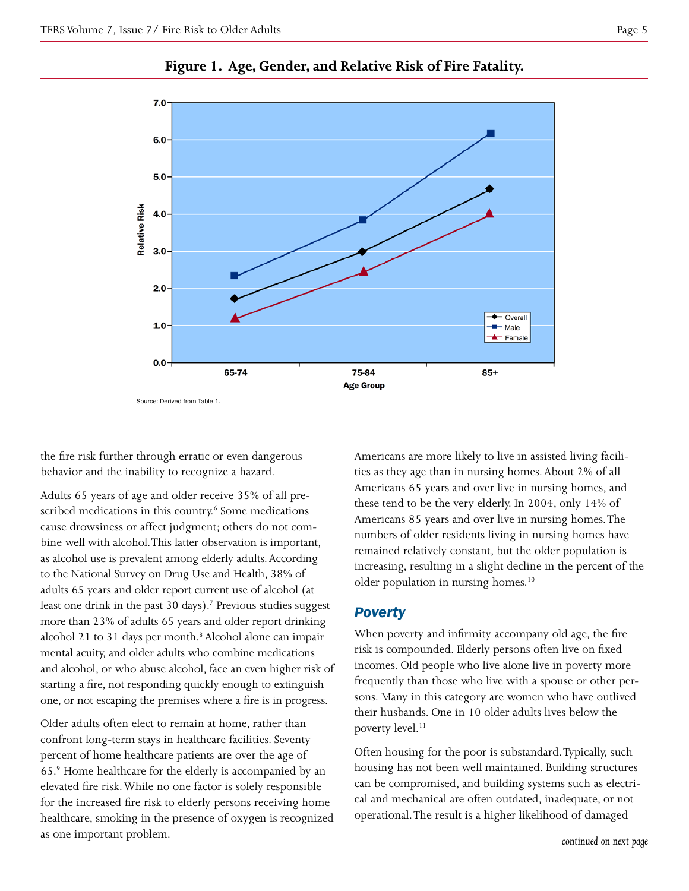

## **Figure 1. Age, Gender, and Relative Risk of Fire Fatality.**

the fire risk further through erratic or even dangerous behavior and the inability to recognize a hazard.

Adults 65 years of age and older receive 35% of all prescribed medications in this country.<sup>6</sup> Some medications cause drowsiness or affect judgment; others do not combine well with alcohol. This latter observation is important, as alcohol use is prevalent among elderly adults. According to the National Survey on Drug Use and Health, 38% of adults 65 years and older report current use of alcohol (at least one drink in the past 30 days).<sup>7</sup> Previous studies suggest more than 23% of adults 65 years and older report drinking alcohol 21 to 31 days per month.<sup>8</sup> Alcohol alone can impair mental acuity, and older adults who combine medications and alcohol, or who abuse alcohol, face an even higher risk of starting a fire, not responding quickly enough to extinguish one, or not escaping the premises where a fire is in progress.

Older adults often elect to remain at home, rather than confront long-term stays in healthcare facilities. Seventy percent of home healthcare patients are over the age of 65.9 Home healthcare for the elderly is accompanied by an elevated fire risk. While no one factor is solely responsible for the increased fire risk to elderly persons receiving home healthcare, smoking in the presence of oxygen is recognized as one important problem.

Americans are more likely to live in assisted living facilities as they age than in nursing homes. About 2% of all Americans 65 years and over live in nursing homes, and these tend to be the very elderly. In 2004, only 14% of Americans 85 years and over live in nursing homes. The numbers of older residents living in nursing homes have remained relatively constant, but the older population is increasing, resulting in a slight decline in the percent of the older population in nursing homes.<sup>10</sup>

# *Poverty*

When poverty and infirmity accompany old age, the fire risk is compounded. Elderly persons often live on fixed incomes. Old people who live alone live in poverty more frequently than those who live with a spouse or other persons. Many in this category are women who have outlived their husbands. One in 10 older adults lives below the poverty level.<sup>11</sup>

Often housing for the poor is substandard. Typically, such housing has not been well maintained. Building structures can be compromised, and building systems such as electrical and mechanical are often outdated, inadequate, or not operational. The result is a higher likelihood of damaged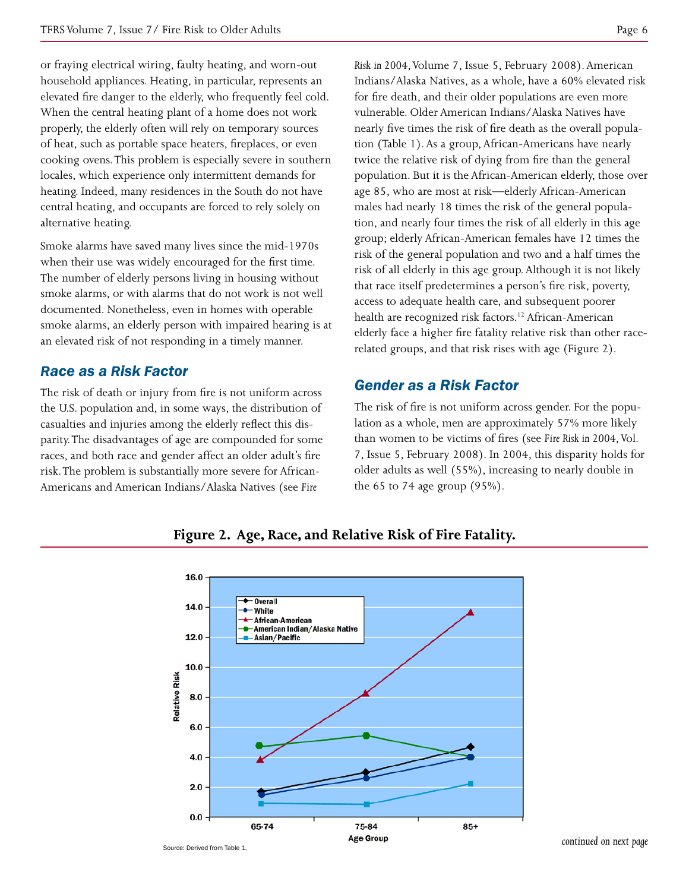or fraying electrical wiring, faulty heating, and worn-out household appliances. Heating, in particular, represents an elevated fire danger to the elderly, who frequently feel cold. When the central heating plant of a home does not work properly, the elderly often will rely on temporary sources of heat, such as portable space heaters, fireplaces, or even cooking ovens. This problem is especially severe in southern locales, which experience only intermittent demands for heating. Indeed, many residences in the South do not have central heating, and occupants are forced to rely solely on alternative heating.

Smoke alarms have saved many lives since the mid-1970s when their use was widely encouraged for the first time. The number of elderly persons living in housing without smoke alarms, or with alarms that do not work is not well documented. Nonetheless, even in homes with operable smoke alarms, an elderly person with impaired hearing is at an elevated risk of not responding in a timely manner.

### *Race as a Risk Factor*

The risk of death or injury from fire is not uniform across the U.S. population and, in some ways, the distribution of casualties and injuries among the elderly reflect this disparity. The disadvantages of age are compounded for some races, and both race and gender affect an older adult's fire risk. The problem is substantially more severe for African-Americans and American Indians/Alaska Natives (see *Fire* 

*Risk in 2004*, Volume 7, Issue 5, February 2008). American Indians/Alaska Natives, as a whole, have a 60% elevated risk for fire death, and their older populations are even more vulnerable. Older American Indians/Alaska Natives have nearly five times the risk of fire death as the overall population (Table 1). As a group, African-Americans have nearly twice the relative risk of dying from fire than the general population. But it is the African-American elderly, those over age 85, who are most at risk—elderly African-American males had nearly 18 times the risk of the general population, and nearly four times the risk of all elderly in this age group; elderly African-American females have 12 times the risk of the general population and two and a half times the risk of all elderly in this age group. Although it is not likely that race itself predetermines a person's fire risk, poverty, access to adequate health care, and subsequent poorer health are recognized risk factors.<sup>12</sup> African-American elderly face a higher fire fatality relative risk than other racerelated groups, and that risk rises with age (Figure 2).

# *Gender as a Risk Factor*

The risk of fire is not uniform across gender. For the population as a whole, men are approximately 57% more likely than women to be victims of fires (see *Fire Risk in 2004*, Vol. 7, Issue 5, February 2008). In 2004, this disparity holds for older adults as well (55%), increasing to nearly double in the 65 to 74 age group  $(95\%)$ .

16.0

**Figure 2. Age, Race, and Relative Risk of Fire Fatality.**